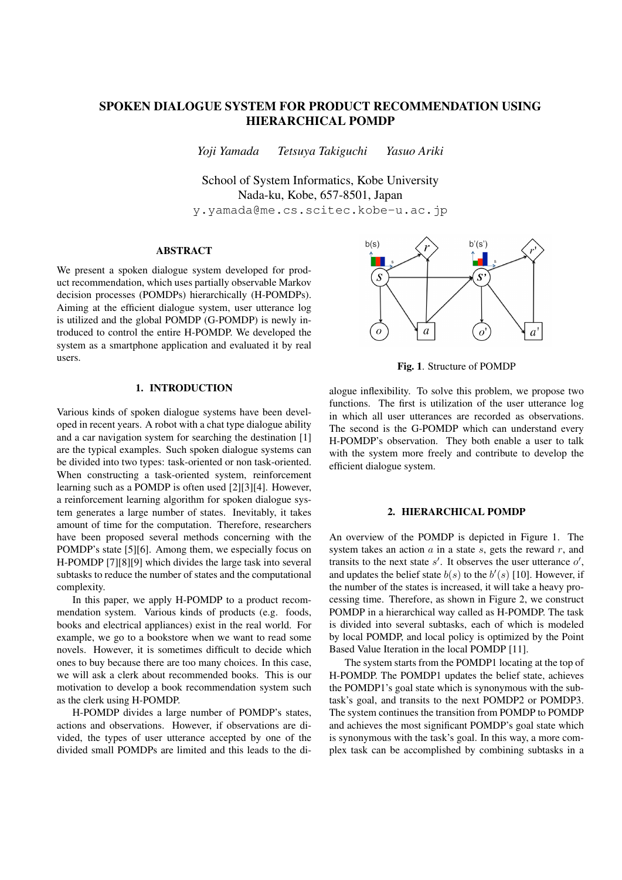# SPOKEN DIALOGUE SYSTEM FOR PRODUCT RECOMMENDATION USING HIERARCHICAL POMDP

*Yoji Yamada Tetsuya Takiguchi Yasuo Ariki*

School of System Informatics, Kobe University Nada-ku, Kobe, 657-8501, Japan

y.yamada@me.cs.scitec.kobe-u.ac.jp

## ABSTRACT

We present a spoken dialogue system developed for product recommendation, which uses partially observable Markov decision processes (POMDPs) hierarchically (H-POMDPs). Aiming at the efficient dialogue system, user utterance log is utilized and the global POMDP (G-POMDP) is newly introduced to control the entire H-POMDP. We developed the system as a smartphone application and evaluated it by real users.

# 1. INTRODUCTION

Various kinds of spoken dialogue systems have been developed in recent years. A robot with a chat type dialogue ability and a car navigation system for searching the destination [1] are the typical examples. Such spoken dialogue systems can be divided into two types: task-oriented or non task-oriented. When constructing a task-oriented system, reinforcement learning such as a POMDP is often used [2][3][4]. However, a reinforcement learning algorithm for spoken dialogue system generates a large number of states. Inevitably, it takes amount of time for the computation. Therefore, researchers have been proposed several methods concerning with the POMDP's state [5][6]. Among them, we especially focus on H-POMDP [7][8][9] which divides the large task into several subtasks to reduce the number of states and the computational complexity.

In this paper, we apply H-POMDP to a product recommendation system. Various kinds of products (e.g. foods, books and electrical appliances) exist in the real world. For example, we go to a bookstore when we want to read some novels. However, it is sometimes difficult to decide which ones to buy because there are too many choices. In this case, we will ask a clerk about recommended books. This is our motivation to develop a book recommendation system such as the clerk using H-POMDP.

H-POMDP divides a large number of POMDP's states, actions and observations. However, if observations are divided, the types of user utterance accepted by one of the divided small POMDPs are limited and this leads to the di-



Fig. 1. Structure of POMDP

alogue inflexibility. To solve this problem, we propose two functions. The first is utilization of the user utterance log in which all user utterances are recorded as observations. The second is the G-POMDP which can understand every H-POMDP's observation. They both enable a user to talk with the system more freely and contribute to develop the efficient dialogue system.

### 2. HIERARCHICAL POMDP

An overview of the POMDP is depicted in Figure 1. The system takes an action *a* in a state *s*, gets the reward *r*, and transits to the next state  $s'$ . It observes the user utterance  $o'$ , and updates the belief state  $b(s)$  to the  $b'(s)$  [10]. However, if the number of the states is increased, it will take a heavy processing time. Therefore, as shown in Figure 2, we construct POMDP in a hierarchical way called as H-POMDP. The task is divided into several subtasks, each of which is modeled by local POMDP, and local policy is optimized by the Point Based Value Iteration in the local POMDP [11].

The system starts from the POMDP1 locating at the top of H-POMDP. The POMDP1 updates the belief state, achieves the POMDP1's goal state which is synonymous with the subtask's goal, and transits to the next POMDP2 or POMDP3. The system continues the transition from POMDP to POMDP and achieves the most significant POMDP's goal state which is synonymous with the task's goal. In this way, a more complex task can be accomplished by combining subtasks in a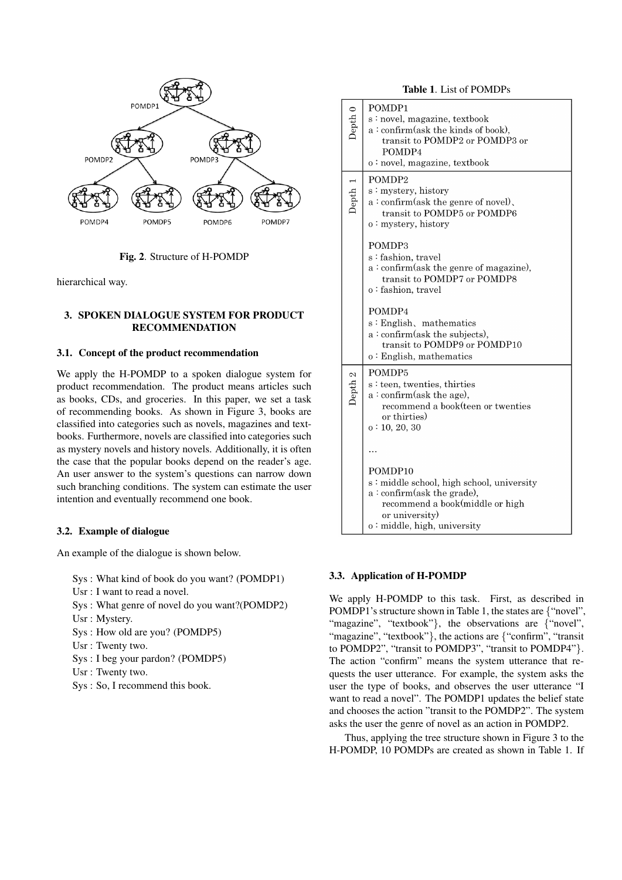

Fig. 2. Structure of H-POMDP

hierarchical way.

# 3. SPOKEN DIALOGUE SYSTEM FOR PRODUCT RECOMMENDATION

# 3.1. Concept of the product recommendation

We apply the H-POMDP to a spoken dialogue system for product recommendation. The product means articles such as books, CDs, and groceries. In this paper, we set a task of recommending books. As shown in Figure 3, books are classified into categories such as novels, magazines and textbooks. Furthermore, novels are classified into categories such as mystery novels and history novels. Additionally, it is often the case that the popular books depend on the reader's age. An user answer to the system's questions can narrow down such branching conditions. The system can estimate the user intention and eventually recommend one book.

### 3.2. Example of dialogue

An example of the dialogue is shown below.

Sys : What kind of book do you want? (POMDP1)

Usr : I want to read a novel.

Sys : What genre of novel do you want?(POMDP2)

- Usr : Mystery.
- Sys : How old are you? (POMDP5)
- Usr : Twenty two.
- Sys : I beg your pardon? (POMDP5)
- Usr : Twenty two.
- Sys : So, I recommend this book.

Table 1. List of POMDPs

| Depth <sub>0</sub> | POMDP1<br>s: novel, magazine, textbook<br>$a:$ confirm(ask the kinds of book),<br>transit to POMDP2 or POMDP3 or<br>POMDP4<br>o: novel, magazine, textbook                                                                                                                |  |
|--------------------|---------------------------------------------------------------------------------------------------------------------------------------------------------------------------------------------------------------------------------------------------------------------------|--|
| Depth 1            | POMDP <sub>2</sub><br>s: mystery, history<br>a: confirm(ask the genre of novel),<br>transit to POMDP5 or POMDP6<br>$o:$ mystery, history<br>POMDP3<br>s: fashion, travel<br>$a:$ confirm(ask the genre of magazine),<br>transit to POMDP7 or POMDP8<br>o: fashion, travel |  |
|                    | POMDP4<br>s: English, mathematics<br>$a:$ confirm(ask the subjects),<br>transit to POMDP9 or POMDP10<br>o: English, mathematics                                                                                                                                           |  |
| Depth <sub>2</sub> | POMDP5<br>s: teen, twenties, thirties<br>$a:$ confirm(ask the age),<br>recommend a book(teen or twenties<br>or thirties)<br>o: 10, 20, 30                                                                                                                                 |  |
|                    | POMDP10<br>s: middle school, high school, university<br>$a:$ confirm(ask the grade),<br>recommend a book(middle or high<br>or university)<br>o: middle, high, university                                                                                                  |  |

### 3.3. Application of H-POMDP

We apply H-POMDP to this task. First, as described in POMDP1's structure shown in Table 1, the states are *{*"novel", "magazine", "textbook"*}*, the observations are *{*"novel", "magazine", "textbook"*}*, the actions are *{*"confirm", "transit to POMDP2", "transit to POMDP3", "transit to POMDP4"*}*. The action "confirm" means the system utterance that requests the user utterance. For example, the system asks the user the type of books, and observes the user utterance "I want to read a novel". The POMDP1 updates the belief state and chooses the action "transit to the POMDP2". The system asks the user the genre of novel as an action in POMDP2.

Thus, applying the tree structure shown in Figure 3 to the H-POMDP, 10 POMDPs are created as shown in Table 1. If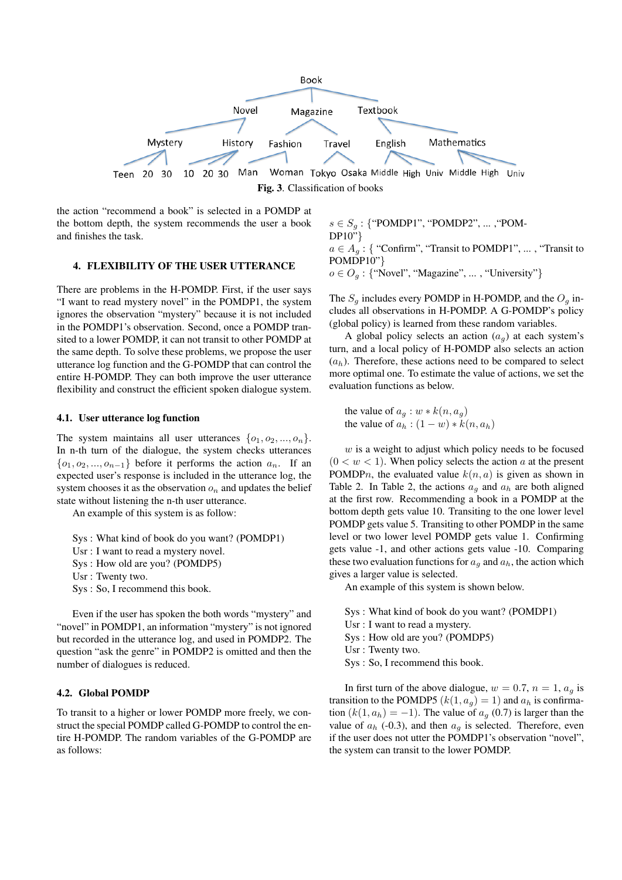

the action "recommend a book" is selected in a POMDP at the bottom depth, the system recommends the user a book and finishes the task.

#### 4. FLEXIBILITY OF THE USER UTTERANCE

There are problems in the H-POMDP. First, if the user says "I want to read mystery novel" in the POMDP1, the system ignores the observation "mystery" because it is not included in the POMDP1's observation. Second, once a POMDP transited to a lower POMDP, it can not transit to other POMDP at the same depth. To solve these problems, we propose the user utterance log function and the G-POMDP that can control the entire H-POMDP. They can both improve the user utterance flexibility and construct the efficient spoken dialogue system.

### 4.1. User utterance log function

The system maintains all user utterances  $\{o_1, o_2, ..., o_n\}$ . In n-th turn of the dialogue, the system checks utterances *{o*1*, o*2*, ..., o<sup>n</sup>−*<sup>1</sup>*}* before it performs the action *an*. If an expected user's response is included in the utterance log, the system chooses it as the observation  $o_n$  and updates the belief state without listening the n-th user utterance.

An example of this system is as follow:

Sys : What kind of book do you want? (POMDP1) Usr : I want to read a mystery novel. Sys : How old are you? (POMDP5)

- Usr : Twenty two.
- Sys : So, I recommend this book.

Even if the user has spoken the both words "mystery" and "novel" in POMDP1, an information "mystery" is not ignored but recorded in the utterance log, and used in POMDP2. The question "ask the genre" in POMDP2 is omitted and then the number of dialogues is reduced.

## 4.2. Global POMDP

To transit to a higher or lower POMDP more freely, we construct the special POMDP called G-POMDP to control the entire H-POMDP. The random variables of the G-POMDP are as follows:

*s ∈ S<sup>g</sup>* : *{*"POMDP1", "POMDP2", ... ,"POM-DP10"*}*  $a \in A_{a}$ : { "Confirm", "Transit to POMDP1", ..., "Transit to POMDP10"*} o ∈ O<sup>g</sup>* : *{*"Novel", "Magazine", ... , "University"*}*

The  $S_g$  includes every POMDP in H-POMDP, and the  $O_g$  includes all observations in H-POMDP. A G-POMDP's policy (global policy) is learned from these random variables.

A global policy selects an action  $(a_q)$  at each system's turn, and a local policy of H-POMDP also selects an action  $(a_h)$ . Therefore, these actions need to be compared to select more optimal one. To estimate the value of actions, we set the evaluation functions as below.

the value of  $a_q : w * k(n, a_q)$ the value of  $a_h$  :  $(1 - w) * k(n, a_h)$ 

*w* is a weight to adjust which policy needs to be focused  $(0 < w < 1)$ . When policy selects the action *a* at the present POMDPn, the evaluated value  $k(n, a)$  is given as shown in Table 2. In Table 2, the actions  $a_q$  and  $a_h$  are both aligned at the first row. Recommending a book in a POMDP at the bottom depth gets value 10. Transiting to the one lower level POMDP gets value 5. Transiting to other POMDP in the same level or two lower level POMDP gets value 1. Confirming gets value -1, and other actions gets value -10. Comparing these two evaluation functions for  $a_q$  and  $a_h$ , the action which gives a larger value is selected.

An example of this system is shown below.

Sys : What kind of book do you want? (POMDP1) Usr : I want to read a mystery. Sys : How old are you? (POMDP5) Usr : Twenty two. Sys : So, I recommend this book.

In first turn of the above dialogue,  $w = 0.7$ ,  $n = 1$ ,  $a<sub>q</sub>$  is transition to the POMDP5  $(k(1, a_g) = 1)$  and  $a_h$  is confirmation  $(k(1, a_h) = -1)$ . The value of  $a_g$  (0.7) is larger than the value of  $a_h$  (-0.3), and then  $a_g$  is selected. Therefore, even if the user does not utter the POMDP1's observation "novel", the system can transit to the lower POMDP.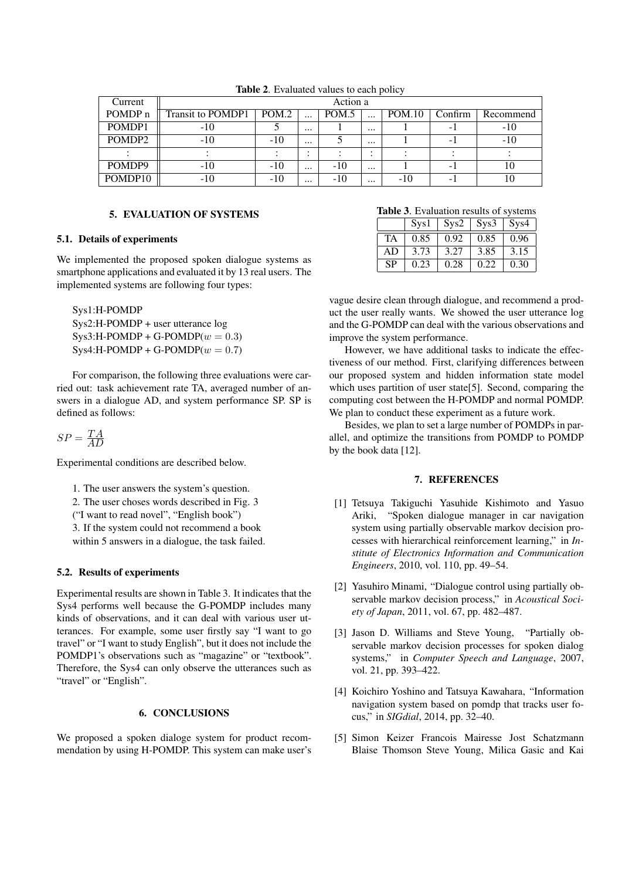| Current            | Action a          |       |          |       |                        |               |          |           |
|--------------------|-------------------|-------|----------|-------|------------------------|---------------|----------|-----------|
| POMDP <sub>n</sub> | Transit to POMDP1 | POM.2 | $\cdots$ | POM.5 | $\cdots$               | <b>POM.10</b> | Confirm  | Recommend |
| POMDP1             | -10               |       | $\cdots$ |       | $\cdots$               |               | $\sim$ 1 | $-10$     |
| POMDP <sub>2</sub> | $-10$             | $-10$ | $\cdots$ |       | $\cdots$               |               | -        | $-10$     |
|                    |                   |       |          |       | $\bullet$<br>$\bullet$ |               |          |           |
| POMDP9             | $-10$             | $-10$ | $\cdots$ | $-10$ | $\cdots$               |               | $\sim$ 1 | 10        |
| POMDP10            | -10               | $-10$ | $\cdots$ | -10   | $\cdots$               | -10           |          |           |
|                    |                   |       |          |       |                        |               |          |           |

Table 2. Evaluated values to each policy

# 5. EVALUATION OF SYSTEMS

### 5.1. Details of experiments

We implemented the proposed spoken dialogue systems as smartphone applications and evaluated it by 13 real users. The implemented systems are following four types:

```
Sys1:H-POMDP
Sys2:H-POMDP + user utterance log
Sys3:H-POMDP + G-POMDP(w = 0.3)Sys4:H-POMDP + G-POMDP(w = 0.7)
```
For comparison, the following three evaluations were carried out: task achievement rate TA, averaged number of answers in a dialogue AD, and system performance SP. SP is defined as follows:

 $SP = \frac{TA}{AD}$ *AD*

Experimental conditions are described below.

1. The user answers the system's question.

2. The user choses words described in Fig. 3

("I want to read novel", "English book")

3. If the system could not recommend a book

within 5 answers in a dialogue, the task failed.

## 5.2. Results of experiments

Experimental results are shown in Table 3. It indicates that the Sys4 performs well because the G-POMDP includes many kinds of observations, and it can deal with various user utterances. For example, some user firstly say "I want to go travel" or "I want to study English", but it does not include the POMDP1's observations such as "magazine" or "textbook". Therefore, the Sys4 can only observe the utterances such as "travel" or "English".

# 6. CONCLUSIONS

We proposed a spoken dialoge system for product recommendation by using H-POMDP. This system can make user's

|  | Table 3. Evaluation results of systems |  |  |
|--|----------------------------------------|--|--|
|--|----------------------------------------|--|--|

| <b>THOIC 0:</b> EITHRAID TOOMAG OF 975001119 |      |                                        |      |      |  |  |
|----------------------------------------------|------|----------------------------------------|------|------|--|--|
|                                              | Sys1 | $\vert$ Sys2 $\vert$ Sys3 $\vert$ Sys4 |      |      |  |  |
| <b>TA</b>                                    | 0.85 | 0.92                                   | 0.85 | 0.96 |  |  |
| AD                                           | 3.73 | 3.27                                   | 3.85 | 3.15 |  |  |
| <b>SP</b>                                    | 0.23 | 0.28                                   | 0.22 | 0.30 |  |  |

vague desire clean through dialogue, and recommend a product the user really wants. We showed the user utterance log and the G-POMDP can deal with the various observations and improve the system performance.

However, we have additional tasks to indicate the effectiveness of our method. First, clarifying differences between our proposed system and hidden information state model which uses partition of user state<sup>[5]</sup>. Second, comparing the computing cost between the H-POMDP and normal POMDP. We plan to conduct these experiment as a future work.

Besides, we plan to set a large number of POMDPs in parallel, and optimize the transitions from POMDP to POMDP by the book data [12].

### 7. REFERENCES

- [1] Tetsuya Takiguchi Yasuhide Kishimoto and Yasuo Ariki, "Spoken dialogue manager in car navigation system using partially observable markov decision processes with hierarchical reinforcement learning," in *Institute of Electronics Information and Communication Engineers*, 2010, vol. 110, pp. 49–54.
- [2] Yasuhiro Minami, "Dialogue control using partially observable markov decision process," in *Acoustical Society of Japan*, 2011, vol. 67, pp. 482–487.
- [3] Jason D. Williams and Steve Young, "Partially observable markov decision processes for spoken dialog systems," in *Computer Speech and Language*, 2007, vol. 21, pp. 393–422.
- [4] Koichiro Yoshino and Tatsuya Kawahara, "Information navigation system based on pomdp that tracks user focus," in *SIGdial*, 2014, pp. 32–40.
- [5] Simon Keizer Francois Mairesse Jost Schatzmann Blaise Thomson Steve Young, Milica Gasic and Kai